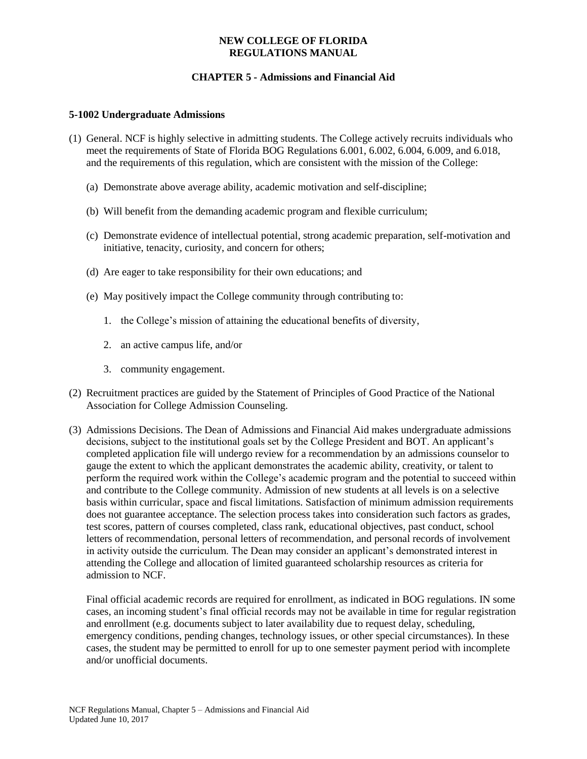### **NEW COLLEGE OF FLORIDA REGULATIONS MANUAL**

# **CHAPTER 5 - Admissions and Financial Aid**

#### **5-1002 Undergraduate Admissions**

- (1) General. NCF is highly selective in admitting students. The College actively recruits individuals who meet the requirements of State of Florida BOG Regulations 6.001, 6.002, 6.004, 6.009, and 6.018, and the requirements of this regulation, which are consistent with the mission of the College:
	- (a) Demonstrate above average ability, academic motivation and self-discipline;
	- (b) Will benefit from the demanding academic program and flexible curriculum;
	- (c) Demonstrate evidence of intellectual potential, strong academic preparation, self-motivation and initiative, tenacity, curiosity, and concern for others;
	- (d) Are eager to take responsibility for their own educations; and
	- (e) May positively impact the College community through contributing to:
		- 1. the College's mission of attaining the educational benefits of diversity,
		- 2. an active campus life, and/or
		- 3. community engagement.
- (2) Recruitment practices are guided by the Statement of Principles of Good Practice of the National Association for College Admission Counseling.
- (3) Admissions Decisions. The Dean of Admissions and Financial Aid makes undergraduate admissions decisions, subject to the institutional goals set by the College President and BOT. An applicant's completed application file will undergo review for a recommendation by an admissions counselor to gauge the extent to which the applicant demonstrates the academic ability, creativity, or talent to perform the required work within the College's academic program and the potential to succeed within and contribute to the College community. Admission of new students at all levels is on a selective basis within curricular, space and fiscal limitations. Satisfaction of minimum admission requirements does not guarantee acceptance. The selection process takes into consideration such factors as grades, test scores, pattern of courses completed, class rank, educational objectives, past conduct, school letters of recommendation, personal letters of recommendation, and personal records of involvement in activity outside the curriculum. The Dean may consider an applicant's demonstrated interest in attending the College and allocation of limited guaranteed scholarship resources as criteria for admission to NCF.

Final official academic records are required for enrollment, as indicated in BOG regulations. IN some cases, an incoming student's final official records may not be available in time for regular registration and enrollment (e.g. documents subject to later availability due to request delay, scheduling, emergency conditions, pending changes, technology issues, or other special circumstances). In these cases, the student may be permitted to enroll for up to one semester payment period with incomplete and/or unofficial documents.